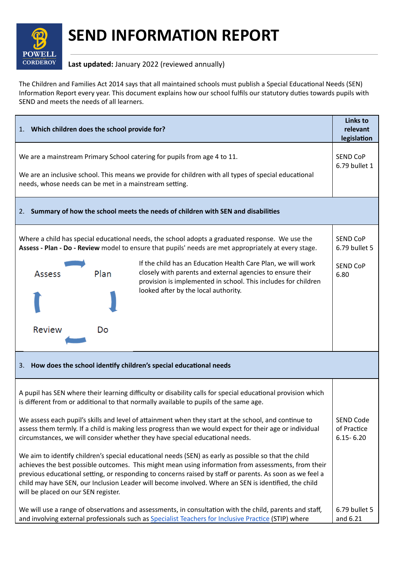

## **SEND INFORMATION REPORT**

## **Last updated:** January 2022 (reviewed annually)

The Children and Families Act 2014 says that all maintained schools must publish a Special Educational Needs (SEN) Information Report every year. This document explains how our school fulfils our statutory duties towards pupils with SEND and meets the needs of all learners.

| 1. Which children does the school provide for?                                                                                                                                                                                                                                                                                                                                                                                                                                                                                                                                                                                                                                                                                                                                                                                                                                                                                                                                    |                                                                                                                                                                                                                                      | <b>Links to</b><br>relevant<br>legislation       |  |  |
|-----------------------------------------------------------------------------------------------------------------------------------------------------------------------------------------------------------------------------------------------------------------------------------------------------------------------------------------------------------------------------------------------------------------------------------------------------------------------------------------------------------------------------------------------------------------------------------------------------------------------------------------------------------------------------------------------------------------------------------------------------------------------------------------------------------------------------------------------------------------------------------------------------------------------------------------------------------------------------------|--------------------------------------------------------------------------------------------------------------------------------------------------------------------------------------------------------------------------------------|--------------------------------------------------|--|--|
| We are a mainstream Primary School catering for pupils from age 4 to 11.<br>We are an inclusive school. This means we provide for children with all types of special educational<br>needs, whose needs can be met in a mainstream setting.                                                                                                                                                                                                                                                                                                                                                                                                                                                                                                                                                                                                                                                                                                                                        |                                                                                                                                                                                                                                      |                                                  |  |  |
| Summary of how the school meets the needs of children with SEN and disabilities<br>2.                                                                                                                                                                                                                                                                                                                                                                                                                                                                                                                                                                                                                                                                                                                                                                                                                                                                                             |                                                                                                                                                                                                                                      |                                                  |  |  |
|                                                                                                                                                                                                                                                                                                                                                                                                                                                                                                                                                                                                                                                                                                                                                                                                                                                                                                                                                                                   | Where a child has special educational needs, the school adopts a graduated response. We use the<br>Assess - Plan - Do - Review model to ensure that pupils' needs are met appropriately at every stage.                              | <b>SEND CoP</b><br>6.79 bullet 5                 |  |  |
| Plan<br>Assess                                                                                                                                                                                                                                                                                                                                                                                                                                                                                                                                                                                                                                                                                                                                                                                                                                                                                                                                                                    | If the child has an Education Health Care Plan, we will work<br>closely with parents and external agencies to ensure their<br>provision is implemented in school. This includes for children<br>looked after by the local authority. | <b>SEND CoP</b><br>6.80                          |  |  |
| <b>Review</b><br>Do                                                                                                                                                                                                                                                                                                                                                                                                                                                                                                                                                                                                                                                                                                                                                                                                                                                                                                                                                               |                                                                                                                                                                                                                                      |                                                  |  |  |
| How does the school identify children's special educational needs<br>3.                                                                                                                                                                                                                                                                                                                                                                                                                                                                                                                                                                                                                                                                                                                                                                                                                                                                                                           |                                                                                                                                                                                                                                      |                                                  |  |  |
| A pupil has SEN where their learning difficulty or disability calls for special educational provision which<br>is different from or additional to that normally available to pupils of the same age.<br>We assess each pupil's skills and level of attainment when they start at the school, and continue to<br>assess them termly. If a child is making less progress than we would expect for their age or individual<br>circumstances, we will consider whether they have special educational needs.<br>We aim to identify children's special educational needs (SEN) as early as possible so that the child<br>achieves the best possible outcomes. This might mean using information from assessments, from their<br>previous educational setting, or responding to concerns raised by staff or parents. As soon as we feel a<br>child may have SEN, our Inclusion Leader will become involved. Where an SEN is identified, the child<br>will be placed on our SEN register. |                                                                                                                                                                                                                                      | <b>SEND Code</b><br>of Practice<br>$6.15 - 6.20$ |  |  |
| We will use a range of observations and assessments, in consultation with the child, parents and staff,<br>and involving external professionals such as Specialist Teachers for Inclusive Practice (STIP) where                                                                                                                                                                                                                                                                                                                                                                                                                                                                                                                                                                                                                                                                                                                                                                   |                                                                                                                                                                                                                                      |                                                  |  |  |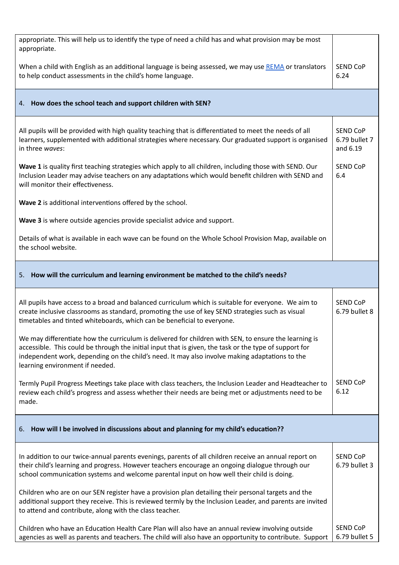| appropriate. This will help us to identify the type of need a child has and what provision may be most<br>appropriate.                                                                                                                                                                                                                               |                                              |
|------------------------------------------------------------------------------------------------------------------------------------------------------------------------------------------------------------------------------------------------------------------------------------------------------------------------------------------------------|----------------------------------------------|
| When a child with English as an additional language is being assessed, we may use REMA or translators<br>to help conduct assessments in the child's home language.                                                                                                                                                                                   | <b>SEND CoP</b><br>6.24                      |
| 4. How does the school teach and support children with SEN?                                                                                                                                                                                                                                                                                          |                                              |
| All pupils will be provided with high quality teaching that is differentiated to meet the needs of all<br>learners, supplemented with additional strategies where necessary. Our graduated support is organised<br>in three waves:                                                                                                                   | <b>SEND CoP</b><br>6.79 bullet 7<br>and 6.19 |
| Wave 1 is quality first teaching strategies which apply to all children, including those with SEND. Our<br>Inclusion Leader may advise teachers on any adaptations which would benefit children with SEND and<br>will monitor their effectiveness.                                                                                                   | <b>SEND CoP</b><br>6.4                       |
| Wave 2 is additional interventions offered by the school.                                                                                                                                                                                                                                                                                            |                                              |
| Wave 3 is where outside agencies provide specialist advice and support.                                                                                                                                                                                                                                                                              |                                              |
| Details of what is available in each wave can be found on the Whole School Provision Map, available on<br>the school website.                                                                                                                                                                                                                        |                                              |
| 5. How will the curriculum and learning environment be matched to the child's needs?                                                                                                                                                                                                                                                                 |                                              |
| All pupils have access to a broad and balanced curriculum which is suitable for everyone. We aim to<br>create inclusive classrooms as standard, promoting the use of key SEND strategies such as visual<br>timetables and tinted whiteboards, which can be beneficial to everyone.                                                                   | <b>SEND CoP</b><br>6.79 bullet 8             |
| We may differentiate how the curriculum is delivered for children with SEN, to ensure the learning is<br>accessible. This could be through the initial input that is given, the task or the type of support for<br>independent work, depending on the child's need. It may also involve making adaptations to the<br>learning environment if needed. |                                              |
| Termly Pupil Progress Meetings take place with class teachers, the Inclusion Leader and Headteacher to<br>review each child's progress and assess whether their needs are being met or adjustments need to be<br>made.                                                                                                                               | <b>SEND CoP</b><br>6.12                      |
| 6. How will I be involved in discussions about and planning for my child's education??                                                                                                                                                                                                                                                               |                                              |
| In addition to our twice-annual parents evenings, parents of all children receive an annual report on<br>their child's learning and progress. However teachers encourage an ongoing dialogue through our<br>school communication systems and welcome parental input on how well their child is doing.                                                | <b>SEND CoP</b><br>6.79 bullet 3             |
| Children who are on our SEN register have a provision plan detailing their personal targets and the<br>additional support they receive. This is reviewed termly by the Inclusion Leader, and parents are invited<br>to attend and contribute, along with the class teacher.                                                                          |                                              |
| Children who have an Education Health Care Plan will also have an annual review involving outside                                                                                                                                                                                                                                                    | <b>SEND CoP</b>                              |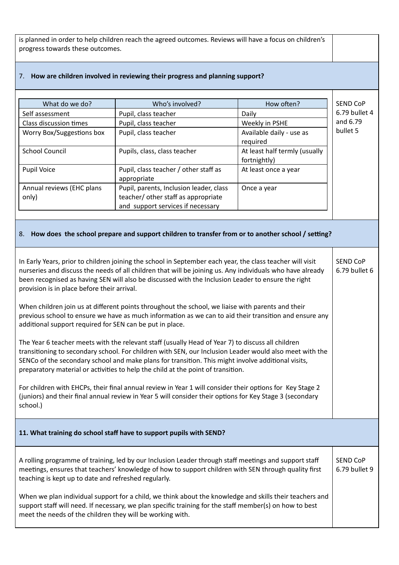is planned in order to help children reach the agreed outcomes. Reviews will have a focus on children's progress towards these outcomes.

| What do we do?                                                                                                                                                                                              | Who's involved?                                                                                           | How often?                    | SEND CoP        |
|-------------------------------------------------------------------------------------------------------------------------------------------------------------------------------------------------------------|-----------------------------------------------------------------------------------------------------------|-------------------------------|-----------------|
| Self assessment                                                                                                                                                                                             | Pupil, class teacher                                                                                      | Daily                         | 6.79 bullet 4   |
| Class discussion times                                                                                                                                                                                      | Pupil, class teacher                                                                                      | Weekly in PSHE                | and 6.79        |
| Worry Box/Suggestions box                                                                                                                                                                                   | Pupil, class teacher                                                                                      | Available daily - use as      | bullet 5        |
|                                                                                                                                                                                                             |                                                                                                           | required                      |                 |
| <b>School Council</b>                                                                                                                                                                                       | Pupils, class, class teacher                                                                              | At least half termly (usually |                 |
|                                                                                                                                                                                                             |                                                                                                           | fortnightly)                  |                 |
| <b>Pupil Voice</b>                                                                                                                                                                                          | Pupil, class teacher / other staff as                                                                     | At least once a year          |                 |
|                                                                                                                                                                                                             | appropriate                                                                                               |                               |                 |
| Annual reviews (EHC plans                                                                                                                                                                                   | Pupil, parents, Inclusion leader, class                                                                   | Once a year                   |                 |
| only)                                                                                                                                                                                                       | teacher/ other staff as appropriate                                                                       |                               |                 |
|                                                                                                                                                                                                             | and support services if necessary                                                                         |                               |                 |
|                                                                                                                                                                                                             |                                                                                                           |                               |                 |
|                                                                                                                                                                                                             |                                                                                                           |                               |                 |
|                                                                                                                                                                                                             | 8. How does the school prepare and support children to transfer from or to another school / setting?      |                               |                 |
|                                                                                                                                                                                                             |                                                                                                           |                               |                 |
|                                                                                                                                                                                                             | In Early Years, prior to children joining the school in September each year, the class teacher will visit |                               | <b>SEND CoP</b> |
|                                                                                                                                                                                                             | nurseries and discuss the needs of all children that will be joining us. Any individuals who have already |                               | 6.79 bullet 6   |
|                                                                                                                                                                                                             | been recognised as having SEN will also be discussed with the Inclusion Leader to ensure the right        |                               |                 |
| provision is in place before their arrival.                                                                                                                                                                 |                                                                                                           |                               |                 |
|                                                                                                                                                                                                             |                                                                                                           |                               |                 |
|                                                                                                                                                                                                             |                                                                                                           |                               |                 |
| When children join us at different points throughout the school, we liaise with parents and their<br>previous school to ensure we have as much information as we can to aid their transition and ensure any |                                                                                                           |                               |                 |
| additional support required for SEN can be put in place.                                                                                                                                                    |                                                                                                           |                               |                 |
|                                                                                                                                                                                                             |                                                                                                           |                               |                 |
| The Year 6 teacher meets with the relevant staff (usually Head of Year 7) to discuss all children                                                                                                           |                                                                                                           |                               |                 |
|                                                                                                                                                                                                             | transitioning to secondary school. For children with SEN, our Inclusion Leader would also meet with the   |                               |                 |
|                                                                                                                                                                                                             | SENCo of the secondary school and make plans for transition. This might involve additional visits,        |                               |                 |
|                                                                                                                                                                                                             | preparatory material or activities to help the child at the point of transition.                          |                               |                 |
|                                                                                                                                                                                                             |                                                                                                           |                               |                 |
|                                                                                                                                                                                                             | For children with EHCPs, their final annual review in Year 1 will consider their options for Key Stage 2  |                               |                 |
|                                                                                                                                                                                                             | (juniors) and their final annual review in Year 5 will consider their options for Key Stage 3 (secondary  |                               |                 |
| school.)                                                                                                                                                                                                    |                                                                                                           |                               |                 |
|                                                                                                                                                                                                             |                                                                                                           |                               |                 |
|                                                                                                                                                                                                             |                                                                                                           |                               |                 |
|                                                                                                                                                                                                             | 11. What training do school staff have to support pupils with SEND?                                       |                               |                 |
|                                                                                                                                                                                                             |                                                                                                           |                               |                 |
|                                                                                                                                                                                                             |                                                                                                           |                               |                 |
|                                                                                                                                                                                                             | A rolling programme of training, led by our Inclusion Leader through staff meetings and support staff     |                               | <b>SEND CoP</b> |
|                                                                                                                                                                                                             | meetings, ensures that teachers' knowledge of how to support children with SEN through quality first      |                               | 6.79 bullet 9   |
| teaching is kept up to date and refreshed regularly.                                                                                                                                                        |                                                                                                           |                               |                 |
|                                                                                                                                                                                                             |                                                                                                           |                               |                 |
| When we plan individual support for a child, we think about the knowledge and skills their teachers and                                                                                                     |                                                                                                           |                               |                 |
| support staff will need. If necessary, we plan specific training for the staff member(s) on how to best                                                                                                     |                                                                                                           |                               |                 |
| meet the needs of the children they will be working with.                                                                                                                                                   |                                                                                                           |                               |                 |
|                                                                                                                                                                                                             |                                                                                                           |                               |                 |

## 7. **How are children involved in reviewing their progress and planning support?**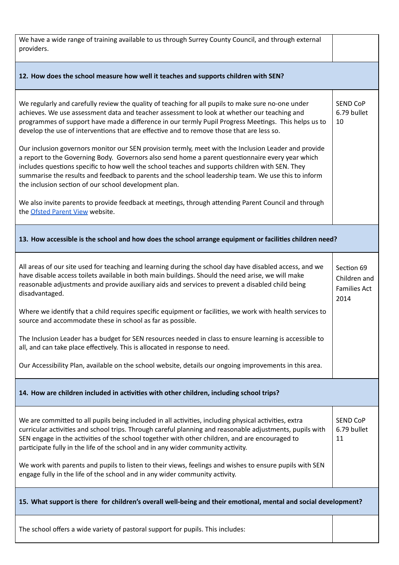| We have a wide range of training available to us through Surrey County Council, and through external<br>providers.                                                                                                                                                                                                                                                                                                                                                                                                                                                                                                                                                                                                                                                                                                                                                                    |                                                           |  |  |
|---------------------------------------------------------------------------------------------------------------------------------------------------------------------------------------------------------------------------------------------------------------------------------------------------------------------------------------------------------------------------------------------------------------------------------------------------------------------------------------------------------------------------------------------------------------------------------------------------------------------------------------------------------------------------------------------------------------------------------------------------------------------------------------------------------------------------------------------------------------------------------------|-----------------------------------------------------------|--|--|
| 12. How does the school measure how well it teaches and supports children with SEN?                                                                                                                                                                                                                                                                                                                                                                                                                                                                                                                                                                                                                                                                                                                                                                                                   |                                                           |  |  |
| We regularly and carefully review the quality of teaching for all pupils to make sure no-one under<br>achieves. We use assessment data and teacher assessment to look at whether our teaching and<br>programmes of support have made a difference in our termly Pupil Progress Meetings. This helps us to<br>develop the use of interventions that are effective and to remove those that are less so.<br>Our inclusion governors monitor our SEN provision termly, meet with the Inclusion Leader and provide<br>a report to the Governing Body. Governors also send home a parent questionnaire every year which<br>includes questions specific to how well the school teaches and supports children with SEN. They<br>summarise the results and feedback to parents and the school leadership team. We use this to inform<br>the inclusion section of our school development plan. | <b>SEND CoP</b><br>6.79 bullet<br>10                      |  |  |
| We also invite parents to provide feedback at meetings, through attending Parent Council and through<br>the Ofsted Parent View website.                                                                                                                                                                                                                                                                                                                                                                                                                                                                                                                                                                                                                                                                                                                                               |                                                           |  |  |
| 13. How accessible is the school and how does the school arrange equipment or facilities children need?                                                                                                                                                                                                                                                                                                                                                                                                                                                                                                                                                                                                                                                                                                                                                                               |                                                           |  |  |
| All areas of our site used for teaching and learning during the school day have disabled access, and we<br>have disable access toilets available in both main buildings. Should the need arise, we will make<br>reasonable adjustments and provide auxiliary aids and services to prevent a disabled child being<br>disadvantaged.                                                                                                                                                                                                                                                                                                                                                                                                                                                                                                                                                    | Section 69<br>Children and<br><b>Families Act</b><br>2014 |  |  |
| Where we identify that a child requires specific equipment or facilities, we work with health services to<br>source and accommodate these in school as far as possible.                                                                                                                                                                                                                                                                                                                                                                                                                                                                                                                                                                                                                                                                                                               |                                                           |  |  |
| The Inclusion Leader has a budget for SEN resources needed in class to ensure learning is accessible to<br>all, and can take place effectively. This is allocated in response to need.                                                                                                                                                                                                                                                                                                                                                                                                                                                                                                                                                                                                                                                                                                |                                                           |  |  |
| Our Accessibility Plan, available on the school website, details our ongoing improvements in this area.                                                                                                                                                                                                                                                                                                                                                                                                                                                                                                                                                                                                                                                                                                                                                                               |                                                           |  |  |
| 14. How are children included in activities with other children, including school trips?                                                                                                                                                                                                                                                                                                                                                                                                                                                                                                                                                                                                                                                                                                                                                                                              |                                                           |  |  |
| We are committed to all pupils being included in all activities, including physical activities, extra<br>curricular activities and school trips. Through careful planning and reasonable adjustments, pupils with<br>SEN engage in the activities of the school together with other children, and are encouraged to<br>participate fully in the life of the school and in any wider community activity.<br>We work with parents and pupils to listen to their views, feelings and wishes to ensure pupils with SEN<br>engage fully in the life of the school and in any wider community activity.                                                                                                                                                                                                                                                                                     | <b>SEND CoP</b><br>6.79 bullet<br>11                      |  |  |
| 15. What support is there for children's overall well-being and their emotional, mental and social development?                                                                                                                                                                                                                                                                                                                                                                                                                                                                                                                                                                                                                                                                                                                                                                       |                                                           |  |  |
|                                                                                                                                                                                                                                                                                                                                                                                                                                                                                                                                                                                                                                                                                                                                                                                                                                                                                       |                                                           |  |  |

The school offers a wide variety of pastoral support for pupils. This includes: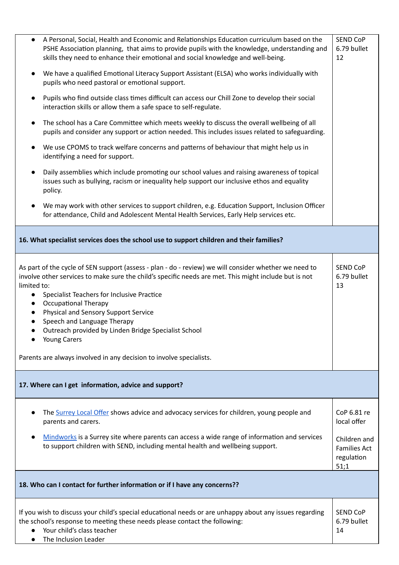|                                                                                                                                                                                                            | A Personal, Social, Health and Economic and Relationships Education curriculum based on the<br>PSHE Association planning, that aims to provide pupils with the knowledge, understanding and<br>skills they need to enhance their emotional and social knowledge and well-being.                                                                                                                                                                                                                                                 | <b>SEND CoP</b><br>6.79 bullet<br>12                      |  |
|------------------------------------------------------------------------------------------------------------------------------------------------------------------------------------------------------------|---------------------------------------------------------------------------------------------------------------------------------------------------------------------------------------------------------------------------------------------------------------------------------------------------------------------------------------------------------------------------------------------------------------------------------------------------------------------------------------------------------------------------------|-----------------------------------------------------------|--|
| $\bullet$                                                                                                                                                                                                  | We have a qualified Emotional Literacy Support Assistant (ELSA) who works individually with<br>pupils who need pastoral or emotional support.                                                                                                                                                                                                                                                                                                                                                                                   |                                                           |  |
| Pupils who find outside class times difficult can access our Chill Zone to develop their social<br>$\bullet$<br>interaction skills or allow them a safe space to self-regulate.                            |                                                                                                                                                                                                                                                                                                                                                                                                                                                                                                                                 |                                                           |  |
| The school has a Care Committee which meets weekly to discuss the overall wellbeing of all<br>$\bullet$<br>pupils and consider any support or action needed. This includes issues related to safeguarding. |                                                                                                                                                                                                                                                                                                                                                                                                                                                                                                                                 |                                                           |  |
| $\bullet$                                                                                                                                                                                                  | We use CPOMS to track welfare concerns and patterns of behaviour that might help us in<br>identifying a need for support.                                                                                                                                                                                                                                                                                                                                                                                                       |                                                           |  |
| $\bullet$                                                                                                                                                                                                  | Daily assemblies which include promoting our school values and raising awareness of topical<br>issues such as bullying, racism or inequality help support our inclusive ethos and equality<br>policy.                                                                                                                                                                                                                                                                                                                           |                                                           |  |
|                                                                                                                                                                                                            | We may work with other services to support children, e.g. Education Support, Inclusion Officer<br>for attendance, Child and Adolescent Mental Health Services, Early Help services etc.                                                                                                                                                                                                                                                                                                                                         |                                                           |  |
|                                                                                                                                                                                                            | 16. What specialist services does the school use to support children and their families?                                                                                                                                                                                                                                                                                                                                                                                                                                        |                                                           |  |
| limited to:<br>$\bullet$<br>$\bullet$                                                                                                                                                                      | As part of the cycle of SEN support (assess - plan - do - review) we will consider whether we need to<br>involve other services to make sure the child's specific needs are met. This might include but is not<br>Specialist Teachers for Inclusive Practice<br><b>Occupational Therapy</b><br><b>Physical and Sensory Support Service</b><br>Speech and Language Therapy<br>Outreach provided by Linden Bridge Specialist School<br><b>Young Carers</b><br>Parents are always involved in any decision to involve specialists. | <b>SEND CoP</b><br>6.79 bullet<br>13                      |  |
|                                                                                                                                                                                                            | 17. Where can I get information, advice and support?                                                                                                                                                                                                                                                                                                                                                                                                                                                                            |                                                           |  |
|                                                                                                                                                                                                            | The Surrey Local Offer shows advice and advocacy services for children, young people and<br>parents and carers.                                                                                                                                                                                                                                                                                                                                                                                                                 | CoP 6.81 re<br>local offer                                |  |
|                                                                                                                                                                                                            | Mindworks is a Surrey site where parents can access a wide range of information and services<br>to support children with SEND, including mental health and wellbeing support.                                                                                                                                                                                                                                                                                                                                                   | Children and<br><b>Families Act</b><br>regulation<br>51;1 |  |
|                                                                                                                                                                                                            | 18. Who can I contact for further information or if I have any concerns??                                                                                                                                                                                                                                                                                                                                                                                                                                                       |                                                           |  |
|                                                                                                                                                                                                            | If you wish to discuss your child's special educational needs or are unhappy about any issues regarding<br>the school's response to meeting these needs please contact the following:<br>Your child's class teacher<br>The Inclusion Leader                                                                                                                                                                                                                                                                                     | <b>SEND CoP</b><br>6.79 bullet<br>14                      |  |